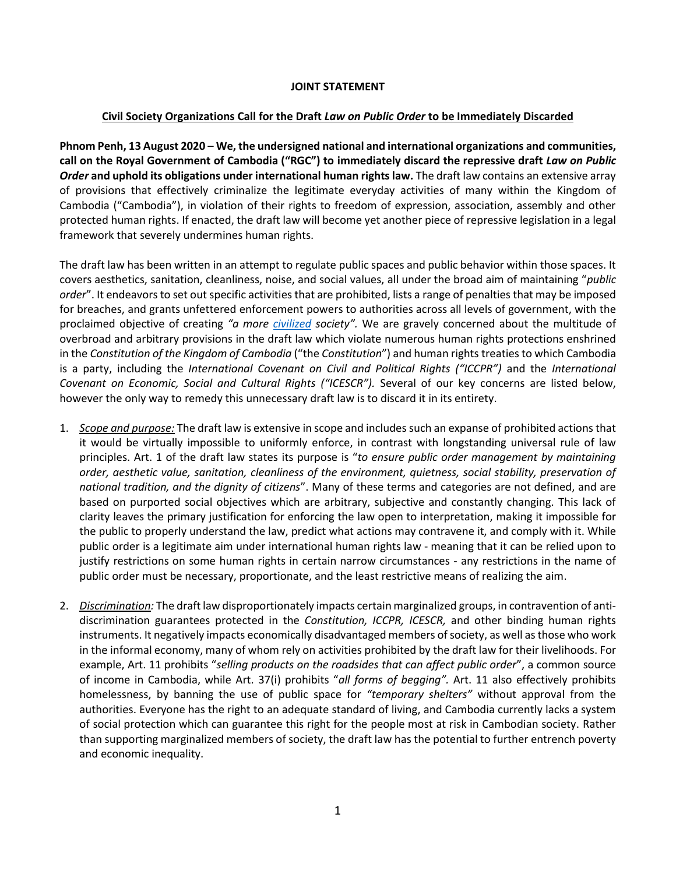## **JOINT STATEMENT**

## **Civil Society Organizations Call for the Draft** *Law on Public Order* **to be Immediately Discarded**

**Phnom Penh, 13 August 2020** – **We, the undersigned national and international organizations and communities, call on the Royal Government of Cambodia ("RGC") to immediately discard the repressive draft** *Law on Public Order* **and uphold its obligations under international human rights law.** The draft law contains an extensive array of provisions that effectively criminalize the legitimate everyday activities of many within the Kingdom of Cambodia ("Cambodia"), in violation of their rights to freedom of expression, association, assembly and other protected human rights. If enacted, the draft law will become yet another piece of repressive legislation in a legal framework that severely undermines human rights.

The draft law has been written in an attempt to regulate public spaces and public behavior within those spaces. It covers aesthetics, sanitation, cleanliness, noise, and social values, all under the broad aim of maintaining "*public order*". It endeavors to set out specific activities that are prohibited, lists a range of penalties that may be imposed for breaches, and grants unfettered enforcement powers to authorities across all levels of government, with the proclaimed objective of creating *"a more [civilized](https://www.voacambodia.com/a/draft-public-order-law-looks-to-control-cambodians-behavior-and-activities/5502253.html) society".* We are gravely concerned about the multitude of overbroad and arbitrary provisions in the draft law which violate numerous human rights protections enshrined in the *Constitution of the Kingdom of Cambodia* ("the *Constitution*") and human rights treaties to which Cambodia is a party, including the *International Covenant on Civil and Political Rights ("ICCPR")* and the *International Covenant on Economic, Social and Cultural Rights ("ICESCR").* Several of our key concerns are listed below, however the only way to remedy this unnecessary draft law is to discard it in its entirety.

- 1. *Scope and purpose:* The draft law is extensive in scope and includes such an expanse of prohibited actionsthat it would be virtually impossible to uniformly enforce, in contrast with longstanding universal rule of law principles. Art. 1 of the draft law states its purpose is "*to ensure public order management by maintaining order, aesthetic value, sanitation, cleanliness of the environment, quietness, social stability, preservation of national tradition, and the dignity of citizens*". Many of these terms and categories are not defined, and are based on purported social objectives which are arbitrary, subjective and constantly changing. This lack of clarity leaves the primary justification for enforcing the law open to interpretation, making it impossible for the public to properly understand the law, predict what actions may contravene it, and comply with it. While public order is a legitimate aim under international human rights law - meaning that it can be relied upon to justify restrictions on some human rights in certain narrow circumstances - any restrictions in the name of public order must be necessary, proportionate, and the least restrictive means of realizing the aim.
- 2. *Discrimination:* The draft law disproportionately impacts certain marginalized groups, in contravention of antidiscrimination guarantees protected in the *Constitution, ICCPR, ICESCR,* and other binding human rights instruments. It negatively impacts economically disadvantaged members of society, as well as those who work in the informal economy, many of whom rely on activities prohibited by the draft law for their livelihoods. For example, Art. 11 prohibits "*selling products on the roadsides that can affect public order*", a common source of income in Cambodia, while Art. 37(i) prohibits "*all forms of begging".* Art. 11 also effectively prohibits homelessness, by banning the use of public space for *"temporary shelters"* without approval from the authorities. Everyone has the right to an adequate standard of living, and Cambodia currently lacks a system of social protection which can guarantee this right for the people most at risk in Cambodian society. Rather than supporting marginalized members of society, the draft law has the potential to further entrench poverty and economic inequality.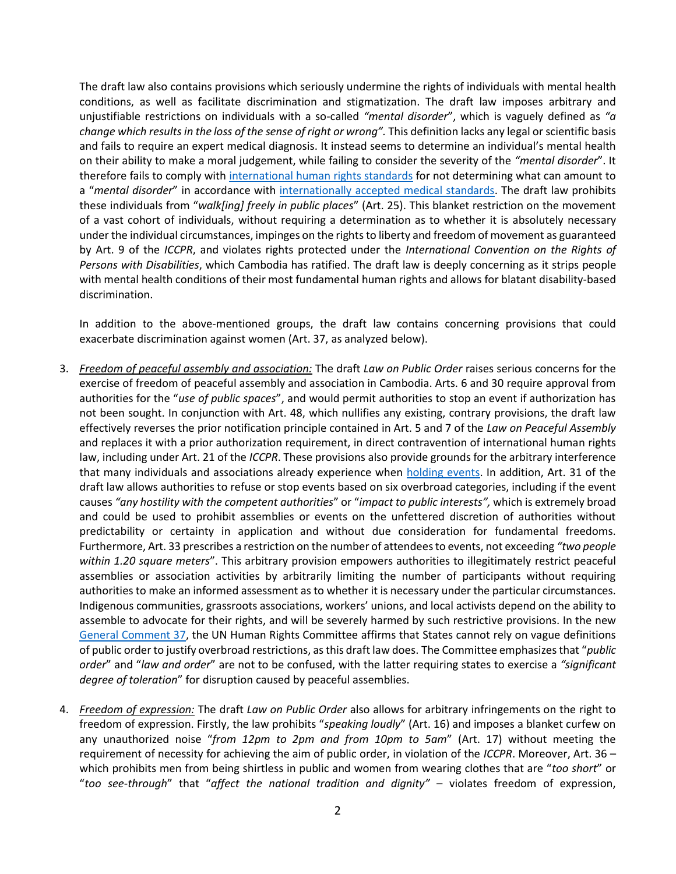The draft law also contains provisions which seriously undermine the rights of individuals with mental health conditions, as well as facilitate discrimination and stigmatization. The draft law imposes arbitrary and unjustifiable restrictions on individuals with a so-called *"mental disorder*", which is vaguely defined as *"a change which results in the loss of the sense of right or wrong".* This definition lacks any legal or scientific basis and fails to require an expert medical diagnosis. It instead seems to determine an individual's mental health on their ability to make a moral judgement, while failing to consider the severity of the *"mental disorder*". It therefore fails to comply with [international human rights standards](https://www.ohchr.org/EN/ProfessionalInterest/Pages/PersonsWithMentalIllness.aspx#:~:text=3.-,All%20persons%20with%20a%20mental%20illness%2C%20or%20who%20are%20being,the%20grounds%20of%20mental%20illness.) for not determining what can amount to a "*mental disorder*" in accordance with [internationally accepted medical standards.](https://www.who.int/classifications/icd/en/bluebook.pdf) The draft law prohibits these individuals from "*walk[ing] freely in public places*" (Art. 25). This blanket restriction on the movement of a vast cohort of individuals, without requiring a determination as to whether it is absolutely necessary under the individual circumstances, impinges on the rights to liberty and freedom of movement as guaranteed by Art. 9 of the *ICCPR*, and violates rights protected under the *International Convention on the Rights of Persons with Disabilities*, which Cambodia has ratified. The draft law is deeply concerning as it strips people with mental health conditions of their most fundamental human rights and allows for blatant disability-based discrimination.

In addition to the above-mentioned groups, the draft law contains concerning provisions that could exacerbate discrimination against women (Art. 37, as analyzed below).

- 3. *Freedom of peaceful assembly and association:* The draft *Law on Public Order* raises serious concerns for the exercise of freedom of peaceful assembly and association in Cambodia. Arts. 6 and 30 require approval from authorities for the "*use of public spaces*", and would permit authorities to stop an event if authorization has not been sought. In conjunction with Art. 48, which nullifies any existing, contrary provisions, the draft law effectively reverses the prior notification principle contained in Art. 5 and 7 of the *Law on Peaceful Assembly*  and replaces it with a prior authorization requirement, in direct contravention of international human rights law, including under Art. 21 of the *ICCPR*. These provisions also provide grounds for the arbitrary interference that many individuals and associations already experience when [holding events.](https://cchrcambodia.org/admin/media/report/report/english/Fourth%20Annual%20Report%20of%20the%20Cambodia%20Fundamental%20Freedoms%20Monitor%202019-.pdf) In addition, Art. 31 of the draft law allows authorities to refuse or stop events based on six overbroad categories, including if the event causes *"any hostility with the competent authorities*" or "*impact to public interests",* which is extremely broad and could be used to prohibit assemblies or events on the unfettered discretion of authorities without predictability or certainty in application and without due consideration for fundamental freedoms. Furthermore, Art. 33 prescribes a restriction on the number of attendees to events, not exceeding *"two people within 1.20 square meters*". This arbitrary provision empowers authorities to illegitimately restrict peaceful assemblies or association activities by arbitrarily limiting the number of participants without requiring authorities to make an informed assessment as to whether it is necessary under the particular circumstances. Indigenous communities, grassroots associations, workers' unions, and local activists depend on the ability to assemble to advocate for their rights, and will be severely harmed by such restrictive provisions. In the new [General Comment 37,](https://www.ohchr.org/EN/HRBodies/CCPR/Pages/GCArticle21.aspx) the UN Human Rights Committee affirms that States cannot rely on vague definitions of public order to justify overbroad restrictions, as this draft law does. The Committee emphasizes that "*public order*" and "*law and order*" are not to be confused, with the latter requiring states to exercise a *"significant degree of toleration*" for disruption caused by peaceful assemblies.
- 4. *Freedom of expression:* The draft *Law on Public Order* also allows for arbitrary infringements on the right to freedom of expression. Firstly, the law prohibits "*speaking loudly*" (Art. 16) and imposes a blanket curfew on any unauthorized noise "*from 12pm to 2pm and from 10pm to 5am*" (Art. 17) without meeting the requirement of necessity for achieving the aim of public order, in violation of the *ICCPR*. Moreover, Art. 36 – which prohibits men from being shirtless in public and women from wearing clothes that are "*too short*" or "*too see-through*" that "*affect the national tradition and dignity"* – violates freedom of expression,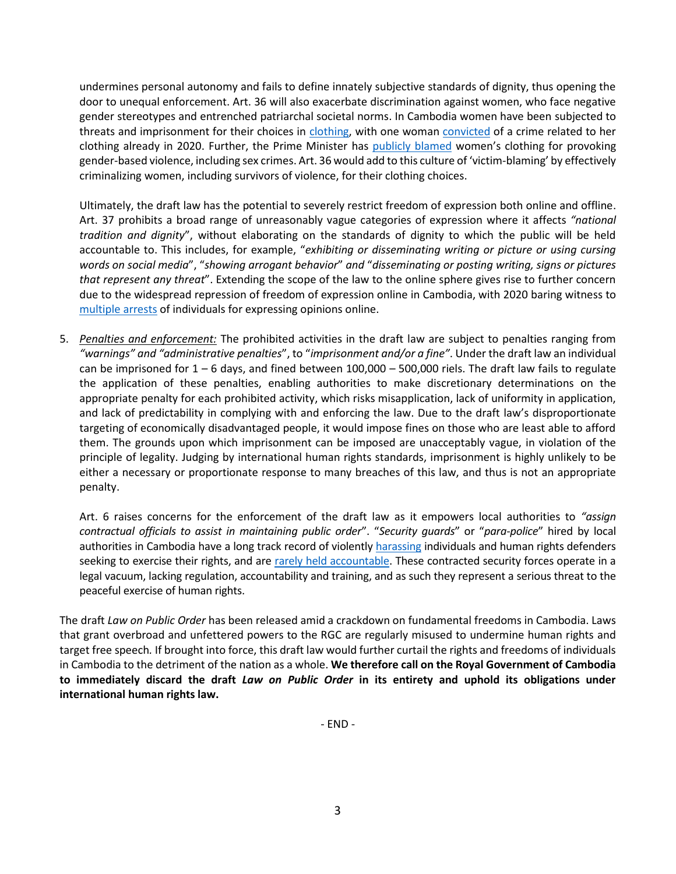undermines personal autonomy and fails to define innately subjective standards of dignity, thus opening the door to unequal enforcement. Art. 36 will also exacerbate discrimination against women, who face negative gender stereotypes and entrenched patriarchal societal norms. In Cambodia women have been subjected to threats and imprisonment for their choices in [clothing,](https://56dd158a-1ed4-4131-9020-9d0718381f08.filesusr.com/ugd/1165ef_b73a7f324ebd4e75b9be95994db609f8.pdf) with one woman [convicted](https://www.voacambodia.com/a/online-seller-convicted-for-producing-pornography-given-a-suspended-sentence-/5400505.html) of a crime related to her clothing already in 2020. Further, the Prime Minister has [publicly blamed](https://www.reuters.com/article/us-cambodia-women-internet-trfn/cover-up-or-be-censored-cambodia-orders-women-not-look-sexy-on-facebook-idUSKBN20D278) women's clothing for provoking gender-based violence, including sex crimes. Art. 36 would add to this culture of 'victim-blaming' by effectively criminalizing women, including survivors of violence, for their clothing choices.

Ultimately, the draft law has the potential to severely restrict freedom of expression both online and offline. Art. 37 prohibits a broad range of unreasonably vague categories of expression where it affects *"national tradition and dignity*", without elaborating on the standards of dignity to which the public will be held accountable to. This includes, for example, "*exhibiting or disseminating writing or picture or using cursing words on social media*", "*showing arrogant behavior*" *and* "*disseminating or posting writing, signs or pictures that represent any threat*". Extending the scope of the law to the online sphere gives rise to further concern due to the widespread repression of freedom of expression online in Cambodia, with 2020 baring witness to [multiple arrests](https://cchrcambodia.org/admin/media/newsletter/newsletter/english/2-Snapshot%20EN%20.pdf) of individuals for expressing opinions online.

5. *Penalties and enforcement:* The prohibited activities in the draft law are subject to penalties ranging from *"warnings" and "administrative penalties*", to "*imprisonment and/or a fine"*. Under the draft law an individual can be imprisoned for 1 – 6 days, and fined between 100,000 – 500,000 riels. The draft law fails to regulate the application of these penalties, enabling authorities to make discretionary determinations on the appropriate penalty for each prohibited activity, which risks misapplication, lack of uniformity in application, and lack of predictability in complying with and enforcing the law. Due to the draft law's disproportionate targeting of economically disadvantaged people, it would impose fines on those who are least able to afford them. The grounds upon which imprisonment can be imposed are unacceptably vague, in violation of the principle of legality. Judging by international human rights standards, imprisonment is highly unlikely to be either a necessary or proportionate response to many breaches of this law, and thus is not an appropriate penalty.

Art. 6 raises concerns for the enforcement of the draft law as it empowers local authorities to *"assign contractual officials to assist in maintaining public order*". "*Security guards*" or "*para-police*" hired by local authorities in Cambodia have a long track record of violently [harassing](https://www.phnompenhpost.com/national/sex-workers-gather-remember-kunthea) individuals and human rights defenders seeking to exercise their rights, and are [rarely held accountable.](https://www.phnompenhpost.com/national/sex-workers-death-still-unpunished) These contracted security forces operate in a legal vacuum, lacking regulation, accountability and training, and as such they represent a serious threat to the peaceful exercise of human rights.

The draft *Law on Public Order* has been released amid a crackdown on fundamental freedoms in Cambodia. Laws that grant overbroad and unfettered powers to the RGC are regularly misused to undermine human rights and target free speech*.* If brought into force, this draft law would further curtail the rights and freedoms of individuals in Cambodia to the detriment of the nation as a whole. **We therefore call on the Royal Government of Cambodia to immediately discard the draft** *Law on Public Order* **in its entirety and uphold its obligations under international human rights law.** 

- END -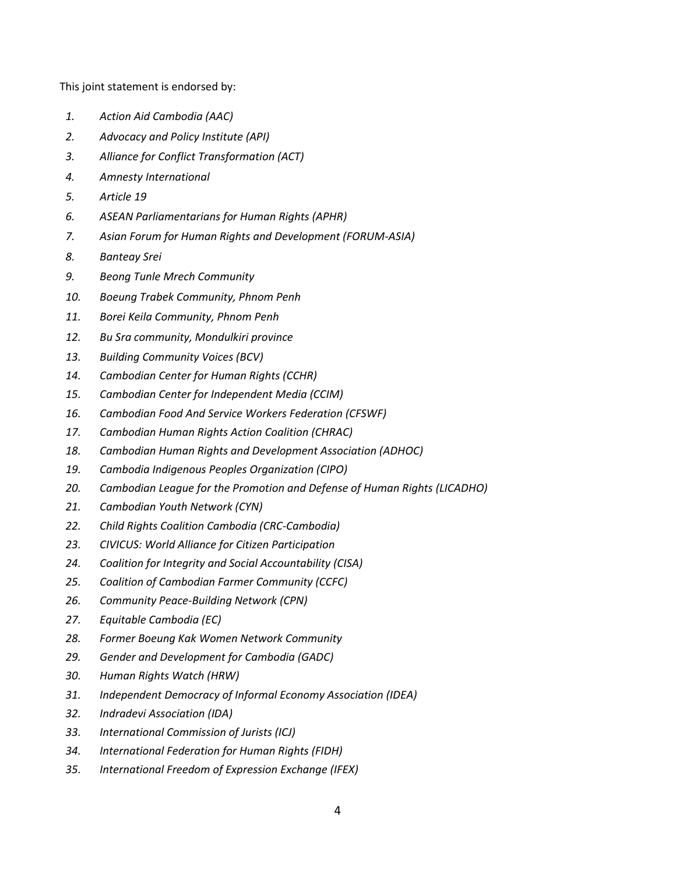This joint statement is endorsed by:

- *1. Action Aid Cambodia (AAC)*
- *2. Advocacy and Policy Institute (API)*
- *3. Alliance for Conflict Transformation (ACT)*
- *4. Amnesty International*
- *5. Article 19*
- *6. ASEAN Parliamentarians for Human Rights (APHR)*
- *7. Asian Forum for Human Rights and Development (FORUM-ASIA)*
- *8. Banteay Srei*
- *9. Beong Tunle Mrech Community*
- *10. Boeung Trabek Community, Phnom Penh*
- *11. Borei Keila Community, Phnom Penh*
- *12. Bu Sra community, Mondulkiri province*
- *13. Building Community Voices (BCV)*
- *14. Cambodian Center for Human Rights (CCHR)*
- *15. Cambodian Center for Independent Media (CCIM)*
- *16. Cambodian Food And Service Workers Federation (CFSWF)*
- *17. Cambodian Human Rights Action Coalition (CHRAC)*
- *18. Cambodian Human Rights and Development Association (ADHOC)*
- *19. Cambodia Indigenous Peoples Organization (CIPO)*
- *20. Cambodian League for the Promotion and Defense of Human Rights (LICADHO)*
- *21. Cambodian Youth Network (CYN)*
- *22. Child Rights Coalition Cambodia (CRC-Cambodia)*
- *23. CIVICUS: World Alliance for Citizen Participation*
- *24. Coalition for Integrity and Social Accountability (CISA)*
- *25. Coalition of Cambodian Farmer Community (CCFC)*
- *26. Community Peace-Building Network (CPN)*
- *27. Equitable Cambodia (EC)*
- *28. Former Boeung Kak Women Network Community*
- *29. Gender and Development for Cambodia (GADC)*
- *30. Human Rights Watch (HRW)*
- *31. Independent Democracy of Informal Economy Association (IDEA)*
- *32. Indradevi Association (IDA)*
- *33. International Commission of Jurists (ICJ)*
- *34. International Federation for Human Rights (FIDH)*
- *35. International Freedom of Expression Exchange (IFEX)*